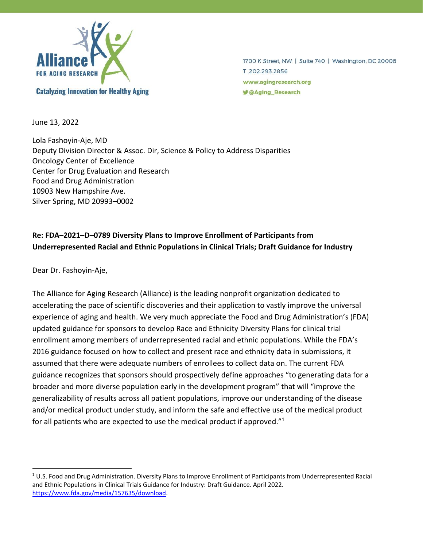

1700 K Street, NW | Suite 740 | Washington, DC 20006 T 202.293.2856 www.agingresearch.org **y** @Aging\_Research

June 13, 2022

Lola Fashoyin-Aje, MD Deputy Division Director & Assoc. Dir, Science & Policy to Address Disparities Oncology Center of Excellence Center for Drug Evaluation and Research Food and Drug Administration 10903 New Hampshire Ave. Silver Spring, MD 20993–0002

# **Re: FDA–2021–D–0789 Diversity Plans to Improve Enrollment of Participants from Underrepresented Racial and Ethnic Populations in Clinical Trials; Draft Guidance for Industry**

Dear Dr. Fashoyin-Aje,

The Alliance for Aging Research (Alliance) is the leading nonprofit organization dedicated to accelerating the pace of scientific discoveries and their application to vastly improve the universal experience of aging and health. We very much appreciate the Food and Drug Administration's (FDA) updated guidance for sponsors to develop Race and Ethnicity Diversity Plans for clinical trial enrollment among members of underrepresented racial and ethnic populations. While the FDA's 2016 guidance focused on how to collect and present race and ethnicity data in submissions, it assumed that there were adequate numbers of enrollees to collect data on. The current FDA guidance recognizes that sponsors should prospectively define approaches "to generating data for a broader and more diverse population early in the development program" that will "improve the generalizability of results across all patient populations, improve our understanding of the disease and/or medical product under study, and inform the safe and effective use of the medical product for all patients who are expected to use the medical product if approved."<sup>1</sup>

 $1$  U.S. Food and Drug Administration. Diversity Plans to Improve Enrollment of Participants from Underrepresented Racial and Ethnic Populations in Clinical Trials Guidance for Industry: Draft Guidance. April 2022. [https://www.fda.gov/media/157635/download.](https://www.fda.gov/media/157635/download)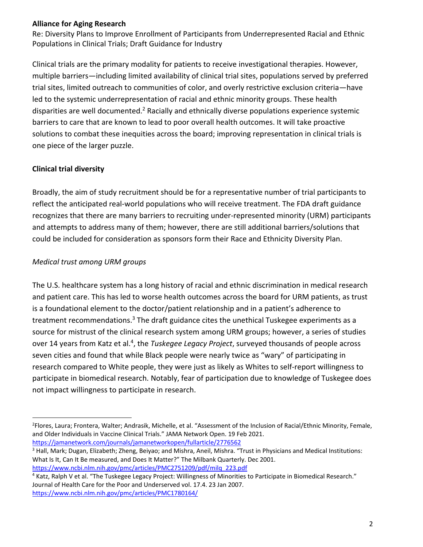Re: Diversity Plans to Improve Enrollment of Participants from Underrepresented Racial and Ethnic Populations in Clinical Trials; Draft Guidance for Industry

Clinical trials are the primary modality for patients to receive investigational therapies. However, multiple barriers—including limited availability of clinical trial sites, populations served by preferred trial sites, limited outreach to communities of color, and overly restrictive exclusion criteria—have led to the systemic underrepresentation of racial and ethnic minority groups. These health disparities are well documented.<sup>2</sup> Racially and ethnically diverse populations experience systemic barriers to care that are known to lead to poor overall health outcomes. It will take proactive solutions to combat these inequities across the board; improving representation in clinical trials is one piece of the larger puzzle.

# **Clinical trial diversity**

Broadly, the aim of study recruitment should be for a representative number of trial participants to reflect the anticipated real-world populations who will receive treatment. The FDA draft guidance recognizes that there are many barriers to recruiting under-represented minority (URM) participants and attempts to address many of them; however, there are still additional barriers/solutions that could be included for consideration as sponsors form their Race and Ethnicity Diversity Plan.

# *Medical trust among URM groups*

The U.S. healthcare system has a long history of racial and ethnic discrimination in medical research and patient care. This has led to worse health outcomes across the board for URM patients, as trust is a foundational element to the doctor/patient relationship and in a patient's adherence to treatment recommendations.<sup>3</sup> The draft guidance cites the unethical Tuskegee experiments as a source for mistrust of the clinical research system among URM groups; however, a series of studies over 14 years from Katz et al.<sup>4</sup>, the *Tuskegee Legacy Project*, surveyed thousands of people across seven cities and found that while Black people were nearly twice as "wary" of participating in research compared to White people, they were just as likely as Whites to self-report willingness to participate in biomedical research. Notably, fear of participation due to knowledge of Tuskegee does not impact willingness to participate in research.

<sup>3</sup> Hall, Mark; Dugan, Elizabeth; Zheng, Beiyao; and Mishra, Aneil, Mishra. "Trust in Physicians and Medical Institutions: What Is It, Can It Be measured, and Does It Matter?" The Milbank Quarterly. Dec 2001.

[https://www.ncbi.nlm.nih.gov/pmc/articles/PMC2751209/pdf/milq\\_223.pdf](https://www.ncbi.nlm.nih.gov/pmc/articles/PMC2751209/pdf/milq_223.pdf) <sup>4</sup> Katz, Ralph V et al. "The Tuskegee Legacy Project: Willingness of Minorities to Participate in Biomedical Research." Journal of Health Care for the Poor and Underserved vol. 17.4. 23 Jan 2007.

<https://www.ncbi.nlm.nih.gov/pmc/articles/PMC1780164/>

<sup>2</sup> Flores, Laura; Frontera, Walter; Andrasik, Michelle, et al. "Assessment of the Inclusion of Racial/Ethnic Minority, Female, and Older Individuals in Vaccine Clinical Trials." JAMA Network Open. 19 Feb 2021. <https://jamanetwork.com/journals/jamanetworkopen/fullarticle/2776562>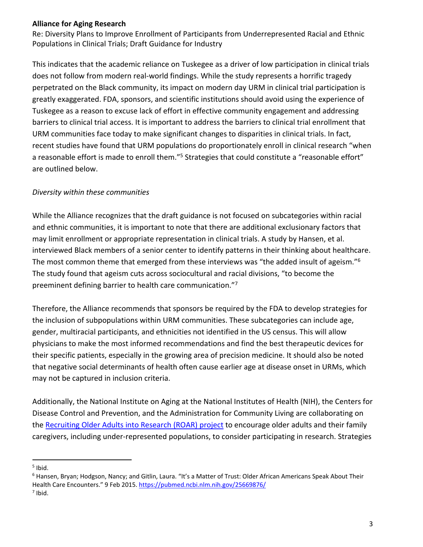Re: Diversity Plans to Improve Enrollment of Participants from Underrepresented Racial and Ethnic Populations in Clinical Trials; Draft Guidance for Industry

This indicates that the academic reliance on Tuskegee as a driver of low participation in clinical trials does not follow from modern real-world findings. While the study represents a horrific tragedy perpetrated on the Black community, its impact on modern day URM in clinical trial participation is greatly exaggerated. FDA, sponsors, and scientific institutions should avoid using the experience of Tuskegee as a reason to excuse lack of effort in effective community engagement and addressing barriers to clinical trial access. It is important to address the barriers to clinical trial enrollment that URM communities face today to make significant changes to disparities in clinical trials. In fact, recent studies have found that URM populations do proportionately enroll in clinical research "when a reasonable effort is made to enroll them."<sup>5</sup> Strategies that could constitute a "reasonable effort" are outlined below.

# *Diversity within these communities*

While the Alliance recognizes that the draft guidance is not focused on subcategories within racial and ethnic communities, it is important to note that there are additional exclusionary factors that may limit enrollment or appropriate representation in clinical trials. A study by Hansen, et al. interviewed Black members of a senior center to identify patterns in their thinking about healthcare. The most common theme that emerged from these interviews was "the added insult of ageism."<sup>6</sup> The study found that ageism cuts across sociocultural and racial divisions, "to become the preeminent defining barrier to health care communication."<sup>7</sup>

Therefore, the Alliance recommends that sponsors be required by the FDA to develop strategies for the inclusion of subpopulations within URM communities. These subcategories can include age, gender, multiracial participants, and ethnicities not identified in the US census. This will allow physicians to make the most informed recommendations and find the best therapeutic devices for their specific patients, especially in the growing area of precision medicine. It should also be noted that negative social determinants of health often cause earlier age at disease onset in URMs, which may not be captured in inclusion criteria.

Additionally, the National Institute on Aging at the National Institutes of Health (NIH), the Centers for Disease Control and Prevention, and the Administration for Community Living are collaborating on the [Recruiting Older Adults into Research \(ROAR\) project](https://www.nia.nih.gov/health/recruiting-older-adults-research-roar-toolkit#:~:text=The%20National%20Institute%20on%20Aging%20%28NIA%29%20at%20NIH%2C,including%20underrepresented%20populations%2C%20to%20consider%20participating%20in%20research.) to encourage older adults and their family caregivers, including under-represented populations, to consider participating in research. Strategies

<sup>5</sup> Ibid.

 $6$  Hansen, Bryan; Hodgson, Nancy; and Gitlin, Laura. "It's a Matter of Trust: Older African Americans Speak About Their Health Care Encounters." 9 Feb 2015. <https://pubmed.ncbi.nlm.nih.gov/25669876/>  $<sup>7</sup>$  Ibid.</sup>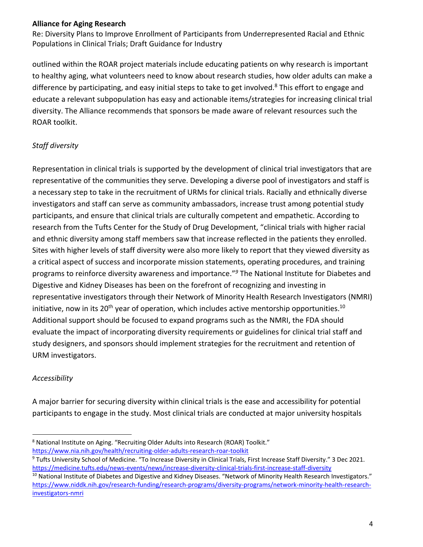Re: Diversity Plans to Improve Enrollment of Participants from Underrepresented Racial and Ethnic Populations in Clinical Trials; Draft Guidance for Industry

outlined within the ROAR project materials include educating patients on why research is important to healthy aging, what volunteers need to know about research studies, how older adults can make a difference by participating, and easy initial steps to take to get involved.<sup>8</sup> This effort to engage and educate a relevant subpopulation has easy and actionable items/strategies for increasing clinical trial diversity. The Alliance recommends that sponsors be made aware of relevant resources such the ROAR toolkit.

# *Staff diversity*

Representation in clinical trials is supported by the development of clinical trial investigators that are representative of the communities they serve. Developing a diverse pool of investigators and staff is a necessary step to take in the recruitment of URMs for clinical trials. Racially and ethnically diverse investigators and staff can serve as community ambassadors, increase trust among potential study participants, and ensure that clinical trials are culturally competent and empathetic. According to research from the Tufts Center for the Study of Drug Development, "clinical trials with higher racial and ethnic diversity among staff members saw that increase reflected in the patients they enrolled. Sites with higher levels of staff diversity were also more likely to report that they viewed diversity as a critical aspect of success and incorporate mission statements, operating procedures, and training programs to reinforce diversity awareness and importance." *<sup>9</sup>* The National Institute for Diabetes and Digestive and Kidney Diseases has been on the forefront of recognizing and investing in representative investigators through their Network of Minority Health Research Investigators (NMRI) initiative, now in its 20<sup>th</sup> year of operation, which includes active mentorship opportunities.<sup>10</sup> Additional support should be focused to expand programs such as the NMRI, the FDA should evaluate the impact of incorporating diversity requirements or guidelines for clinical trial staff and study designers, and sponsors should implement strategies for the recruitment and retention of URM investigators.

# *Accessibility*

A major barrier for securing diversity within clinical trials is the ease and accessibility for potential participants to engage in the study. Most clinical trials are conducted at major university hospitals

<sup>&</sup>lt;sup>8</sup> National Institute on Aging. "Recruiting Older Adults into Research (ROAR) Toolkit." <https://www.nia.nih.gov/health/recruiting-older-adults-research-roar-toolkit>

<sup>9</sup> Tufts University School of Medicine. "To Increase Diversity in Clinical Trials, First Increase Staff Diversity." 3 Dec 2021. <https://medicine.tufts.edu/news-events/news/increase-diversity-clinical-trials-first-increase-staff-diversity>

<sup>&</sup>lt;sup>10</sup> National Institute of Diabetes and Digestive and Kidney Diseases. "Network of Minority Health Research Investigators." [https://www.niddk.nih.gov/research-funding/research-programs/diversity-programs/network-minority-health-research](https://www.niddk.nih.gov/research-funding/research-programs/diversity-programs/network-minority-health-research-investigators-nmri)[investigators-nmri](https://www.niddk.nih.gov/research-funding/research-programs/diversity-programs/network-minority-health-research-investigators-nmri)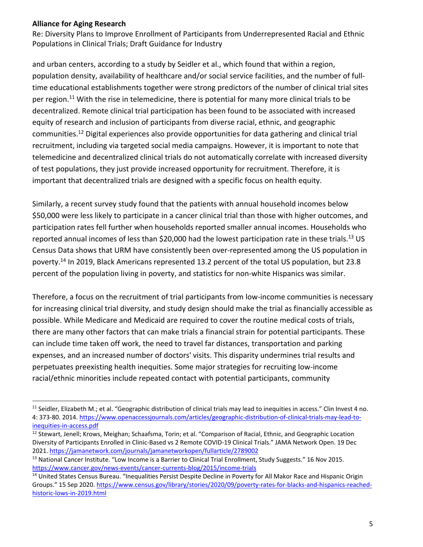Re: Diversity Plans to Improve Enrollment of Participants from Underrepresented Racial and Ethnic Populations in Clinical Trials; Draft Guidance for Industry

and urban centers, according to a study by Seidler et al., which found that within a region, population density, availability of healthcare and/or social service facilities, and the number of fulltime educational establishments together were strong predictors of the number of clinical trial sites per region.<sup>11</sup> With the rise in telemedicine, there is potential for many more clinical trials to be decentralized. Remote clinical trial participation has been found to be associated with increased equity of research and inclusion of participants from diverse racial, ethnic, and geographic communities.<sup>12</sup> Digital experiences also provide opportunities for data gathering and clinical trial recruitment, including via targeted social media campaigns. However, it is important to note that telemedicine and decentralized clinical trials do not automatically correlate with increased diversity of test populations, they just provide increased opportunity for recruitment. Therefore, it is important that decentralized trials are designed with a specific focus on health equity.

Similarly, a recent survey study found that the patients with annual household incomes below \$50,000 were less likely to participate in a cancer clinical trial than those with higher outcomes, and participation rates fell further when households reported smaller annual incomes. Households who reported annual incomes of less than \$20,000 had the lowest participation rate in these trials.<sup>13</sup> US Census Data shows that URM have consistently been over-represented among the US population in poverty. <sup>14</sup> In 2019, Black Americans represented 13.2 percent of the total US population, but 23.8 percent of the population living in poverty, and statistics for non-white Hispanics was similar.

Therefore, a focus on the recruitment of trial participants from low-income communities is necessary for increasing clinical trial diversity, and study design should make the trial as financially accessible as possible. While Medicare and Medicaid are required to cover the routine medical costs of trials, there are many other factors that can make trials a financial strain for potential participants. These can include time taken off work, the need to travel far distances, transportation and parking expenses, and an increased number of doctors' visits. This disparity undermines trial results and perpetuates preexisting health inequities. Some major strategies for recruiting low-income racial/ethnic minorities include repeated contact with potential participants, community

 $11$  Seidler, Elizabeth M.; et al. "Geographic distribution of clinical trials may lead to inequities in access." Clin Invest 4 no. 4: 373-80. 2014. [https://www.openaccessjournals.com/articles/geographic-distribution-of-clinical-trials-may-lead-to](https://www.openaccessjournals.com/articles/geographic-distribution-of-clinical-trials-may-lead-to-inequities-in-access.pdf)[inequities-in-access.pdf](https://www.openaccessjournals.com/articles/geographic-distribution-of-clinical-trials-may-lead-to-inequities-in-access.pdf)

<sup>&</sup>lt;sup>12</sup> Stewart, Jenell; Krows, Meighan; Schaafsma, Torin; et al. "Comparison of Racial, Ethnic, and Geographic Location Diversity of Participants Enrolled in Clinic-Based vs 2 Remote COVID-19 Clinical Trials." JAMA Network Open. 19 Dec 2021.<https://jamanetwork.com/journals/jamanetworkopen/fullarticle/2789002>

<sup>&</sup>lt;sup>13</sup> National Cancer Institute. "Low Income is a Barrier to Clinical Trial Enrollment, Study Suggests." 16 Nov 2015. <https://www.cancer.gov/news-events/cancer-currents-blog/2015/income-trials>

<sup>&</sup>lt;sup>14</sup> United States Census Bureau. "Inequalities Persist Despite Decline in Poverty for All Makor Race and Hispanic Origin Groups." 15 Sep 2020. [https://www.census.gov/library/stories/2020/09/poverty-rates-for-blacks-and-hispanics-reached](https://www.census.gov/library/stories/2020/09/poverty-rates-for-blacks-and-hispanics-reached-historic-lows-in-2019.html)[historic-lows-in-2019.html](https://www.census.gov/library/stories/2020/09/poverty-rates-for-blacks-and-hispanics-reached-historic-lows-in-2019.html)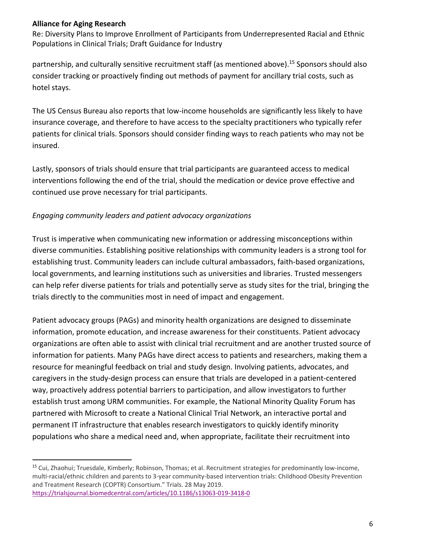Re: Diversity Plans to Improve Enrollment of Participants from Underrepresented Racial and Ethnic Populations in Clinical Trials; Draft Guidance for Industry

partnership, and culturally sensitive recruitment staff (as mentioned above).<sup>15</sup> Sponsors should also consider tracking or proactively finding out methods of payment for ancillary trial costs, such as hotel stays.

The US Census Bureau also reports that low-income households are significantly less likely to have insurance coverage, and therefore to have access to the specialty practitioners who typically refer patients for clinical trials. Sponsors should consider finding ways to reach patients who may not be insured.

Lastly, sponsors of trials should ensure that trial participants are guaranteed access to medical interventions following the end of the trial, should the medication or device prove effective and continued use prove necessary for trial participants.

# *Engaging community leaders and patient advocacy organizations*

Trust is imperative when communicating new information or addressing misconceptions within diverse communities. Establishing positive relationships with community leaders is a strong tool for establishing trust. Community leaders can include cultural ambassadors, faith-based organizations, local governments, and learning institutions such as universities and libraries. Trusted messengers can help refer diverse patients for trials and potentially serve as study sites for the trial, bringing the trials directly to the communities most in need of impact and engagement.

Patient advocacy groups (PAGs) and minority health organizations are designed to disseminate information, promote education, and increase awareness for their constituents. Patient advocacy organizations are often able to assist with clinical trial recruitment and are another trusted source of information for patients. Many PAGs have direct access to patients and researchers, making them a resource for meaningful feedback on trial and study design. Involving patients, advocates, and caregivers in the study-design process can ensure that trials are developed in a patient-centered way, proactively address potential barriers to participation, and allow investigators to further establish trust among URM communities. For example, the National Minority Quality Forum has partnered with Microsoft to create a National Clinical Trial Network, an interactive portal and permanent IT infrastructure that enables research investigators to quickly identify minority populations who share a medical need and, when appropriate, facilitate their recruitment into

<sup>&</sup>lt;sup>15</sup> Cui, Zhaohui; Truesdale, Kimberly; Robinson, Thomas; et al. Recruitment strategies for predominantly low-income, multi-racial/ethnic children and parents to 3-year community-based intervention trials: Childhood Obesity Prevention and Treatment Research (COPTR) Consortium." Trials. 28 May 2019. <https://trialsjournal.biomedcentral.com/articles/10.1186/s13063-019-3418-0>